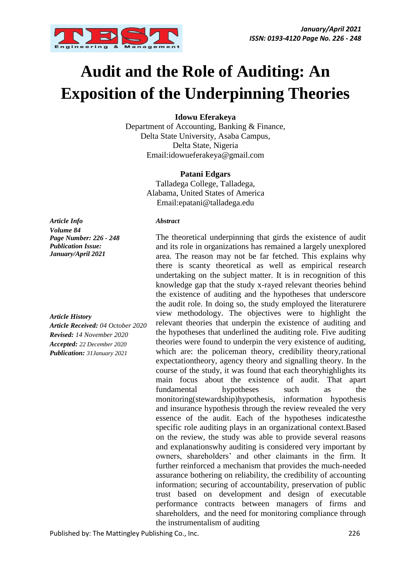

# **Audit and the Role of Auditing: An Exposition of the Underpinning Theories**

**Idowu Eferakeya**

Department of Accounting, Banking & Finance, Delta State University, Asaba Campus, Delta State, Nigeria Email:idowueferakeya@gmail.com

#### **Patani Edgars**

Talladega College, Talladega, Alabama, United States of America Email:epatani@talladega.edu

*Article Info Volume 84 Page Number: 226 - 248 Publication Issue: January/April 2021*

*Article History*

*Article Received: 04 October 2020 Revised: 14 November 2020 Accepted: 22 December 2020 Publication: 31January 2021*

*Abstract*

The theoretical underpinning that girds the existence of audit and its role in organizations has remained a largely unexplored area. The reason may not be far fetched. This explains why there is scanty theoretical as well as empirical research undertaking on the subject matter. It is in recognition of this knowledge gap that the study x-rayed relevant theories behind the existence of auditing and the hypotheses that underscore the audit role. In doing so, the study employed the literaturere view methodology. The objectives were to highlight the relevant theories that underpin the existence of auditing and the hypotheses that underlined the auditing role. Five auditing theories were found to underpin the very existence of auditing, which are: the policeman theory, credibility theory, rational expectationtheory, agency theory and signalling theory. In the course of the study, it was found that each theoryhighlights its main focus about the existence of audit. That apart fundamental hypotheses such as the monitoring(stewardship)hypothesis, information hypothesis and insurance hypothesis through the review revealed the very essence of the audit. Each of the hypotheses indicatesthe specific role auditing plays in an organizational context.Based on the review, the study was able to provide several reasons and explanationswhy auditing is considered very important by owners, shareholders' and other claimants in the firm. It further reinforced a mechanism that provides the much-needed assurance bothering on reliability, the credibility of accounting information; securing of accountability, preservation of public trust based on development and design of executable performance contracts between managers of firms and shareholders, and the need for monitoring compliance through the instrumentalism of auditing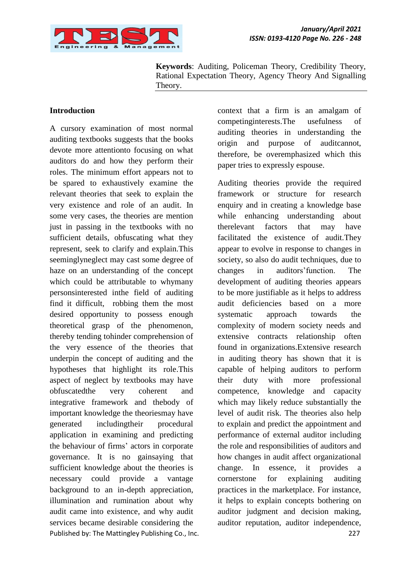

**Keywords**: Auditing, Policeman Theory, Credibility Theory, Rational Expectation Theory, Agency Theory And Signalling Theory.

#### **Introduction**

Published by: The Mattingley Publishing Co., Inc. 227 A cursory examination of most normal auditing textbooks suggests that the books devote more attentionto focusing on what auditors do and how they perform their roles. The minimum effort appears not to be spared to exhaustively examine the relevant theories that seek to explain the very existence and role of an audit. In some very cases, the theories are mention just in passing in the textbooks with no sufficient details, obfuscating what they represent, seek to clarify and explain.This seeminglyneglect may cast some degree of haze on an understanding of the concept which could be attributable to whymany personsinterested inthe field of auditing find it difficult, robbing them the most desired opportunity to possess enough theoretical grasp of the phenomenon, thereby tending tohinder comprehension of the very essence of the theories that underpin the concept of auditing and the hypotheses that highlight its role.This aspect of neglect by textbooks may have obfuscatedthe very coherent and integrative framework and thebody of important knowledge the theoriesmay have generated includingtheir procedural application in examining and predicting the behaviour of firms' actors in corporate governance. It is no gainsaying that sufficient knowledge about the theories is necessary could provide a vantage background to an in-depth appreciation, illumination and rumination about why audit came into existence, and why audit services became desirable considering the

context that a firm is an amalgam of competinginterests.The usefulness of auditing theories in understanding the origin and purpose of auditcannot, therefore, be overemphasized which this paper tries to expressly espouse.

Auditing theories provide the required framework or structure for research enquiry and in creating a knowledge base while enhancing understanding about therelevant factors that may have facilitated the existence of audit.They appear to evolve in response to changes in society, so also do audit techniques, due to changes in auditors'function. The development of auditing theories appears to be more justifiable as it helps to address audit deficiencies based on a more systematic approach towards the complexity of modern society needs and extensive contracts relationship often found in organizations.Extensive research in auditing theory has shown that it is capable of helping auditors to perform their duty with more professional competence, knowledge and capacity which may likely reduce substantially the level of audit risk. The theories also help to explain and predict the appointment and performance of external auditor including the role and responsibilities of auditors and how changes in audit affect organizational change. In essence, it provides a cornerstone for explaining auditing practices in the marketplace. For instance, it helps to explain concepts bothering on auditor judgment and decision making, auditor reputation, auditor independence,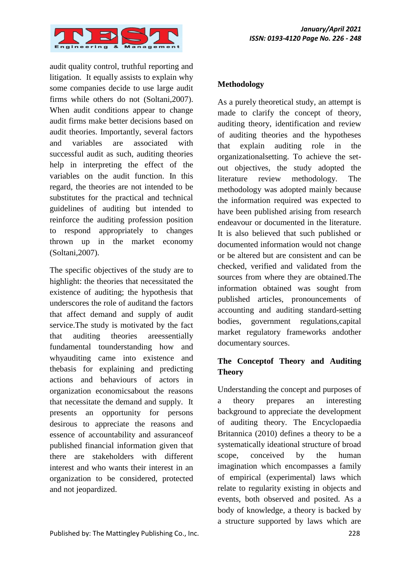

audit quality control, truthful reporting and litigation. It equally assists to explain why some companies decide to use large audit firms while others do not (Soltani,2007). When audit conditions appear to change audit firms make better decisions based on audit theories. Importantly, several factors and variables are associated with successful audit as such, auditing theories help in interpreting the effect of the variables on the audit function. In this regard, the theories are not intended to be substitutes for the practical and technical guidelines of auditing but intended to reinforce the auditing profession position to respond appropriately to changes thrown up in the market economy (Soltani,2007).

The specific objectives of the study are to highlight: the theories that necessitated the existence of auditing; the hypothesis that underscores the role of auditand the factors that affect demand and supply of audit service.The study is motivated by the fact that auditing theories areessentially fundamental tounderstanding how and whyauditing came into existence and thebasis for explaining and predicting actions and behaviours of actors in organization economicsabout the reasons that necessitate the demand and supply. It presents an opportunity for persons desirous to appreciate the reasons and essence of accountability and assuranceof published financial information given that there are stakeholders with different interest and who wants their interest in an organization to be considered, protected and not jeopardized.

#### **Methodology**

As a purely theoretical study, an attempt is made to clarify the concept of theory, auditing theory, identification and review of auditing theories and the hypotheses that explain auditing role in the organizationalsetting. To achieve the setout objectives, the study adopted the literature review methodology. The methodology was adopted mainly because the information required was expected to have been published arising from research endeavour or documented in the literature. It is also believed that such published or documented information would not change or be altered but are consistent and can be checked, verified and validated from the sources from where they are obtained.The information obtained was sought from published articles, pronouncements of accounting and auditing standard-setting bodies, government regulations,capital market regulatory frameworks andother documentary sources.

# **The Conceptof Theory and Auditing Theory**

Understanding the concept and purposes of a theory prepares an interesting background to appreciate the development of auditing theory. The Encyclopaedia Britannica (2010) defines a theory to be a systematically ideational structure of broad scope, conceived by the human imagination which encompasses a family of empirical (experimental) laws which relate to regularity existing in objects and events, both observed and posited. As a body of knowledge, a theory is backed by a structure supported by laws which are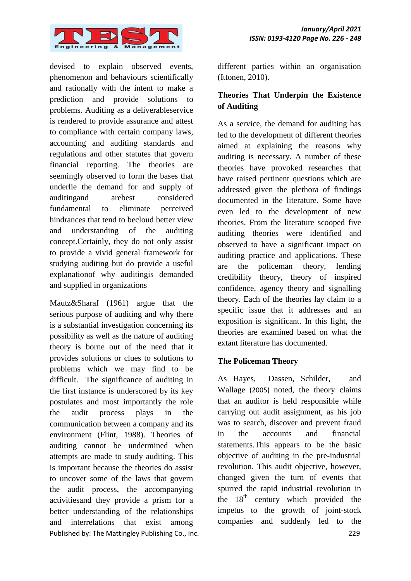

devised to explain observed events, phenomenon and behaviours scientifically and rationally with the intent to make a prediction and provide solutions to problems. Auditing as a deliverableservice is rendered to provide assurance and attest to compliance with certain company laws, accounting and auditing standards and regulations and other statutes that govern financial reporting. The theories are seemingly observed to form the bases that underlie the demand for and supply of auditingand arebest considered fundamental to eliminate perceived hindrances that tend to becloud better view and understanding of the auditing concept.Certainly, they do not only assist to provide a vivid general framework for studying auditing but do provide a useful explanationof why auditingis demanded and supplied in organizations

Published by: The Mattingley Publishing Co., Inc. 229 Mautz&Sharaf (1961) argue that the serious purpose of auditing and why there is a substantial investigation concerning its possibility as well as the nature of auditing theory is borne out of the need that it provides solutions or clues to solutions to problems which we may find to be difficult. The significance of auditing in the first instance is underscored by its key postulates and most importantly the role the audit process plays in the communication between a company and its environment (Flint, 1988). Theories of auditing cannot be undermined when attempts are made to study auditing. This is important because the theories do assist to uncover some of the laws that govern the audit process, the accompanying activitiesand they provide a prism for a better understanding of the relationships and interrelations that exist among

different parties within an organisation (Ittonen, 2010).

# **Theories That Underpin the Existence of Auditing**

As a service, the demand for auditing has led to the development of different theories aimed at explaining the reasons why auditing is necessary. A number of these theories have provoked researches that have raised pertinent questions which are addressed given the plethora of findings documented in the literature. Some have even led to the development of new theories. From the literature scooped five auditing theories were identified and observed to have a significant impact on auditing practice and applications. These are the policeman theory, lending credibility theory, theory of inspired confidence, agency theory and signalling theory. Each of the theories lay claim to a specific issue that it addresses and an exposition is significant. In this light, the theories are examined based on what the extant literature has documented.

# **The Policeman Theory**

As Hayes, Dassen, Schilder, and Wallage (2005) noted, the theory claims that an auditor is held responsible while carrying out audit assignment, as his job was to search, discover and prevent fraud in the accounts and financial statements.This appears to be the basic objective of auditing in the pre-industrial revolution. This audit objective, however, changed given the turn of events that spurred the rapid industrial revolution in the  $18<sup>th</sup>$  century which provided the impetus to the growth of joint-stock companies and suddenly led to the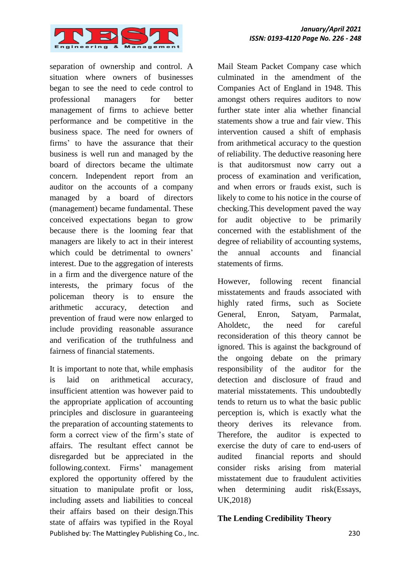

separation of ownership and control. A situation where owners of businesses began to see the need to cede control to professional managers for better management of firms to achieve better performance and be competitive in the business space. The need for owners of firms' to have the assurance that their business is well run and managed by the board of directors became the ultimate concern. Independent report from an auditor on the accounts of a company managed by a board of directors (management) became fundamental. These conceived expectations began to grow because there is the looming fear that managers are likely to act in their interest which could be detrimental to owners' interest. Due to the aggregation of interests in a firm and the divergence nature of the interests, the primary focus of the policeman theory is to ensure the arithmetic accuracy, detection and prevention of fraud were now enlarged to include providing reasonable assurance and verification of the truthfulness and fairness of financial statements.

Published by: The Mattingley Publishing Co., Inc. 230 It is important to note that, while emphasis is laid on arithmetical accuracy, insufficient attention was however paid to the appropriate application of accounting principles and disclosure in guaranteeing the preparation of accounting statements to form a correct view of the firm's state of affairs. The resultant effect cannot be disregarded but be appreciated in the following.context. Firms' management explored the opportunity offered by the situation to manipulate profit or loss, including assets and liabilities to conceal their affairs based on their design.This state of affairs was typified in the Royal

Mail Steam Packet Company case which culminated in the amendment of the Companies Act of England in 1948. This amongst others requires auditors to now further state inter alia whether financial statements show a true and fair view. This intervention caused a shift of emphasis from arithmetical accuracy to the question of reliability. The deductive reasoning here is that auditorsmust now carry out a process of examination and verification, and when errors or frauds exist, such is likely to come to his notice in the course of checking.This development paved the way for audit objective to be primarily concerned with the establishment of the degree of reliability of accounting systems, the annual accounts and financial statements of firms.

However, following recent financial misstatements and frauds associated with highly rated firms, such as Societe General, Enron, Satyam, Parmalat, Aholdetc, the need for careful reconsideration of this theory cannot be ignored. This is against the background of the ongoing debate on the primary responsibility of the auditor for the detection and disclosure of fraud and material misstatements. This undoubtedly tends to return us to what the basic public perception is, which is exactly what the theory derives its relevance from. Therefore, the auditor is expected to exercise the duty of care to end-users of audited financial reports and should consider risks arising from material misstatement due to fraudulent activities when determining audit risk(Essays, UK,2018)

#### **The Lending Credibility Theory**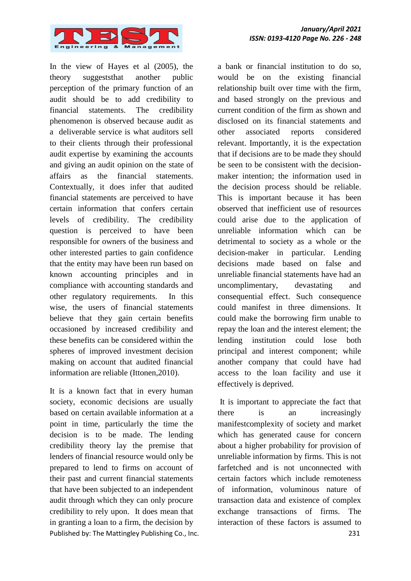

In the view of Hayes et al (2005), the theory suggeststhat another public perception of the primary function of an audit should be to add credibility to financial statements. The credibility phenomenon is observed because audit as a deliverable service is what auditors sell to their clients through their professional audit expertise by examining the accounts and giving an audit opinion on the state of affairs as the financial statements. Contextually, it does infer that audited financial statements are perceived to have certain information that confers certain levels of credibility. The credibility question is perceived to have been responsible for owners of the business and other interested parties to gain confidence that the entity may have been run based on known accounting principles and in compliance with accounting standards and other regulatory requirements. In this wise, the users of financial statements believe that they gain certain benefits occasioned by increased credibility and these benefits can be considered within the spheres of improved investment decision making on account that audited financial information are reliable (Ittonen,2010).

Published by: The Mattingley Publishing Co., Inc. 231 It is a known fact that in every human society, economic decisions are usually based on certain available information at a point in time, particularly the time the decision is to be made. The lending credibility theory lay the premise that lenders of financial resource would only be prepared to lend to firms on account of their past and current financial statements that have been subjected to an independent audit through which they can only procure credibility to rely upon. It does mean that in granting a loan to a firm, the decision by

a bank or financial institution to do so, would be on the existing financial relationship built over time with the firm, and based strongly on the previous and current condition of the firm as shown and disclosed on its financial statements and other associated reports considered relevant. Importantly, it is the expectation that if decisions are to be made they should be seen to be consistent with the decisionmaker intention; the information used in the decision process should be reliable. This is important because it has been observed that inefficient use of resources could arise due to the application of unreliable information which can be detrimental to society as a whole or the decision-maker in particular. Lending decisions made based on false and unreliable financial statements have had an uncomplimentary, devastating and consequential effect. Such consequence could manifest in three dimensions. It could make the borrowing firm unable to repay the loan and the interest element; the lending institution could lose both principal and interest component; while another company that could have had access to the loan facility and use it effectively is deprived.

It is important to appreciate the fact that there is an increasingly manifestcomplexity of society and market which has generated cause for concern about a higher probability for provision of unreliable information by firms. This is not farfetched and is not unconnected with certain factors which include remoteness of information, voluminous nature of transaction data and existence of complex exchange transactions of firms. The interaction of these factors is assumed to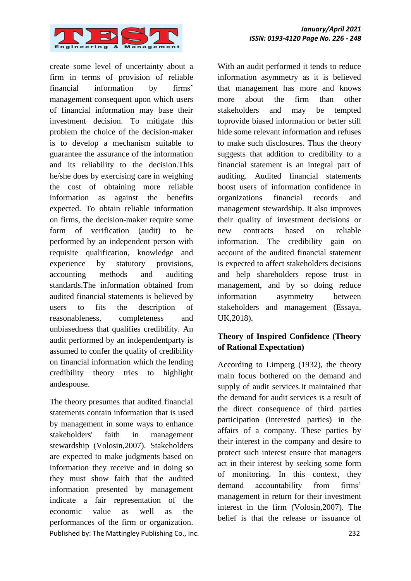

create some level of uncertainty about a firm in terms of provision of reliable financial information by firms' management consequent upon which users of financial information may base their investment decision. To mitigate this problem the choice of the decision-maker is to develop a mechanism suitable to guarantee the assurance of the information and its reliability to the decision.This he/she does by exercising care in weighing the cost of obtaining more reliable information as against the benefits expected. To obtain reliable information on firms, the decision-maker require some form of verification (audit) to be performed by an independent person with requisite qualification, knowledge and experience by statutory provisions, accounting methods and auditing standards.The information obtained from audited financial statements is believed by users to fits the description of reasonableness, completeness and unbiasedness that qualifies credibility. An audit performed by an independentparty is assumed to confer the quality of credibility on financial information which the lending credibility theory tries to highlight andespouse.

Published by: The Mattingley Publishing Co., Inc. 232 The theory presumes that audited financial statements contain information that is used by management in some ways to enhance stakeholders' faith in management stewardship (Volosin,2007). Stakeholders are expected to make judgments based on information they receive and in doing so they must show faith that the audited information presented by management indicate a fair representation of the economic value as well as the performances of the firm or organization.

With an audit performed it tends to reduce information asymmetry as it is believed that management has more and knows more about the firm than other stakeholders and may be tempted toprovide biased information or better still hide some relevant information and refuses to make such disclosures. Thus the theory suggests that addition to credibility to a financial statement is an integral part of auditing. Audited financial statements boost users of information confidence in organizations financial records and management stewardship. It also improves their quality of investment decisions or new contracts based on reliable information. The credibility gain on account of the audited financial statement is expected to affect stakeholders decisions and help shareholders repose trust in management, and by so doing reduce information asymmetry between stakeholders and management (Essaya, UK,2018).

# **Theory of Inspired Confidence (Theory of Rational Expectation)**

According to Limperg (1932), the theory main focus bothered on the demand and supply of audit services.It maintained that the demand for audit services is a result of the direct consequence of third parties participation (interested parties) in the affairs of a company. These parties by their interest in the company and desire to protect such interest ensure that managers act in their interest by seeking some form of monitoring. In this context, they demand accountability from firms' management in return for their investment interest in the firm (Volosin,2007). The belief is that the release or issuance of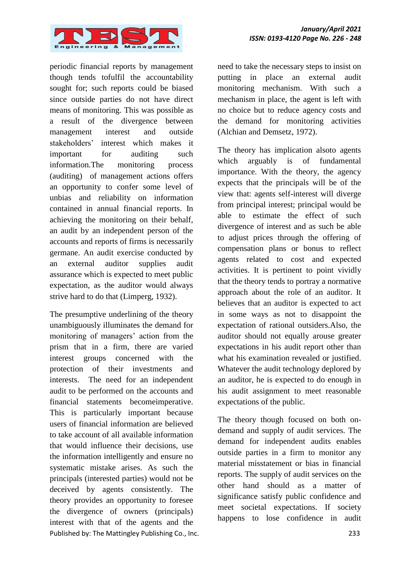

periodic financial reports by management though tends tofulfil the accountability sought for; such reports could be biased since outside parties do not have direct means of monitoring. This was possible as a result of the divergence between management interest and outside stakeholders' interest which makes it important for auditing such information.The monitoring process (auditing) of management actions offers an opportunity to confer some level of unbias and reliability on information contained in annual financial reports. In achieving the monitoring on their behalf, an audit by an independent person of the accounts and reports of firms is necessarily germane. An audit exercise conducted by an external auditor supplies audit assurance which is expected to meet public expectation, as the auditor would always strive hard to do that (Limperg, 1932).

Published by: The Mattingley Publishing Co., Inc. 233 The presumptive underlining of the theory unambiguously illuminates the demand for monitoring of managers' action from the prism that in a firm, there are varied interest groups concerned with the protection of their investments and interests. The need for an independent audit to be performed on the accounts and financial statements becomeimperative. This is particularly important because users of financial information are believed to take account of all available information that would influence their decisions, use the information intelligently and ensure no systematic mistake arises. As such the principals (interested parties) would not be deceived by agents consistently. The theory provides an opportunity to foresee the divergence of owners (principals) interest with that of the agents and the

need to take the necessary steps to insist on putting in place an external audit monitoring mechanism. With such a mechanism in place, the agent is left with no choice but to reduce agency costs and the demand for monitoring activities (Alchian and Demsetz, 1972).

The theory has implication alsoto agents which arguably is of fundamental importance. With the theory, the agency expects that the principals will be of the view that: agents self-interest will diverge from principal interest; principal would be able to estimate the effect of such divergence of interest and as such be able to adjust prices through the offering of compensation plans or bonus to reflect agents related to cost and expected activities. It is pertinent to point vividly that the theory tends to portray a normative approach about the role of an auditor. It believes that an auditor is expected to act in some ways as not to disappoint the expectation of rational outsiders.Also, the auditor should not equally arouse greater expectations in his audit report other than what his examination revealed or justified. Whatever the audit technology deplored by an auditor, he is expected to do enough in his audit assignment to meet reasonable expectations of the public.

The theory though focused on both ondemand and supply of audit services. The demand for independent audits enables outside parties in a firm to monitor any material misstatement or bias in financial reports. The supply of audit services on the other hand should as a matter of significance satisfy public confidence and meet societal expectations. If society happens to lose confidence in audit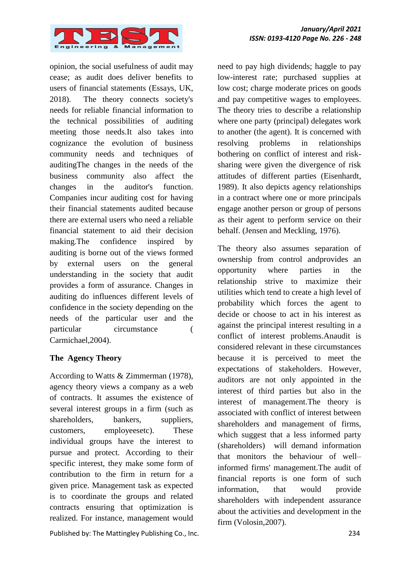

opinion, the social usefulness of audit may cease; as audit does deliver benefits to users of financial statements (Essays, UK, 2018). The theory connects society's needs for reliable financial information to the technical possibilities of auditing meeting those needs.It also takes into cognizance the evolution of business community needs and techniques of auditingThe changes in the needs of the business community also affect the changes in the auditor's function. Companies incur auditing cost for having their financial statements audited because there are external users who need a reliable financial statement to aid their decision making.The confidence inspired by auditing is borne out of the views formed by external users on the general understanding in the society that audit provides a form of assurance. Changes in auditing do influences different levels of confidence in the society depending on the needs of the particular user and the particular circumstance ( Carmichael,2004).

#### **The Agency Theory**

According to Watts & Zimmerman (1978), agency theory views a company as a web of contracts. It assumes the existence of several interest groups in a firm (such as shareholders, bankers, suppliers, customers, employeesetc). These individual groups have the interest to pursue and protect. According to their specific interest, they make some form of contribution to the firm in return for a given price. Management task as expected is to coordinate the groups and related contracts ensuring that optimization is realized. For instance, management would

Published by: The Mattingley Publishing Co., Inc. 234

need to pay high dividends; haggle to pay low-interest rate; purchased supplies at low cost; charge moderate prices on goods and pay competitive wages to employees. The theory tries to describe a relationship where one party (principal) delegates work to another (the agent). It is concerned with resolving problems in relationships bothering on conflict of interest and risksharing were given the divergence of risk attitudes of different parties (Eisenhardt, 1989). It also depicts agency relationships in a contract where one or more principals engage another person or group of persons as their agent to perform service on their behalf. (Jensen and Meckling, 1976).

The theory also assumes separation of ownership from control andprovides an opportunity where parties in the relationship strive to maximize their utilities which tend to create a high level of probability which forces the agent to decide or choose to act in his interest as against the principal interest resulting in a conflict of interest problems.Anaudit is considered relevant in these circumstances because it is perceived to meet the expectations of stakeholders. However, auditors are not only appointed in the interest of third parties but also in the interest of management.The theory is associated with conflict of interest between shareholders and management of firms, which suggest that a less informed party (shareholders) will demand information that monitors the behaviour of well– informed firms' management.The audit of financial reports is one form of such information, that would provide shareholders with independent assurance about the activities and development in the firm (Volosin,2007).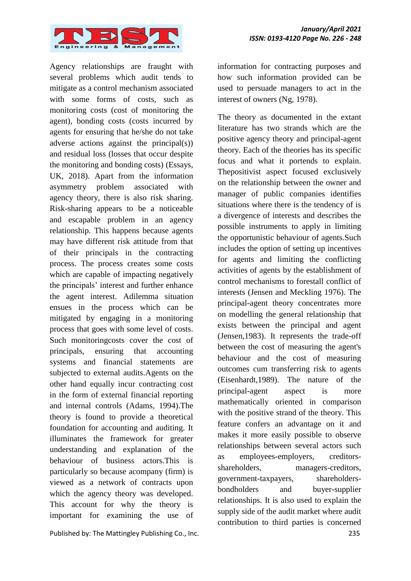

Agency relationships are fraught with several problems which audit tends to mitigate as a control mechanism associated with some forms of costs, such as monitoring costs (cost of monitoring the agent), bonding costs (costs incurred by agents for ensuring that he/she do not take adverse actions against the principal(s)) and residual loss (losses that occur despite the monitoring and bonding costs) (Essays, UK, 2018). Apart from the information asymmetry problem associated with agency theory, there is also risk sharing. Risk-sharing appears to be a noticeable and escapable problem in an agency relationship. This happens because agents may have different risk attitude from that of their principals in the contracting process. The process creates some costs which are capable of impacting negatively the principals' interest and further enhance the agent interest. Adilemma situation ensues in the process which can be mitigated by engaging in a monitoring process that goes with some level of costs. Such monitoringcosts cover the cost of principals, ensuring that accounting systems and financial statements are subjected to external audits.Agents on the other hand equally incur contracting cost in the form of external financial reporting and internal controls (Adams, 1994).The theory is found to provide a theoretical foundation for accounting and auditing. It illuminates the framework for greater understanding and explanation of the behaviour of business actors.This is particularly so because acompany (firm) is viewed as a network of contracts upon which the agency theory was developed. This account for why the theory is important for examining the use of

Published by: The Mattingley Publishing Co., Inc. 235

information for contracting purposes and how such information provided can be used to persuade managers to act in the interest of owners (Ng, 1978).

The theory as documented in the extant literature has two strands which are the positive agency theory and principal-agent theory. Each of the theories has its specific focus and what it portends to explain. Thepositivist aspect focused exclusively on the relationship between the owner and manager of public companies identifies situations where there is the tendency of is a divergence of interests and describes the possible instruments to apply in limiting the opportunistic behaviour of agents.Such includes the option of setting up incentives for agents and limiting the conflicting activities of agents by the establishment of control mechanisms to forestall conflict of interests (Jensen and Meckling 1976). The principal-agent theory concentrates more on modelling the general relationship that exists between the principal and agent (Jensen,1983). It represents the trade-off between the cost of measuring the agent's behaviour and the cost of measuring outcomes cum transferring risk to agents (Eisenhardt,1989). The nature of the principal-agent aspect is more mathematically oriented in comparison with the positive strand of the theory. This feature confers an advantage on it and makes it more easily possible to observe relationships between several actors such as employees-employers, creditorsshareholders, managers-creditors, government-taxpayers, shareholdersbondholders and buyer-supplier relationships. It is also used to explain the supply side of the audit market where audit contribution to third parties is concerned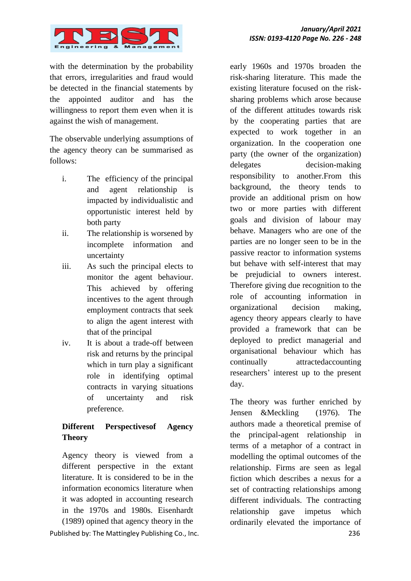

with the determination by the probability that errors, irregularities and fraud would be detected in the financial statements by the appointed auditor and has the willingness to report them even when it is against the wish of management.

The observable underlying assumptions of the agency theory can be summarised as follows:

- i. The efficiency of the principal and agent relationship is impacted by individualistic and opportunistic interest held by both party
- ii. The relationship is worsened by incomplete information and uncertainty
- iii. As such the principal elects to monitor the agent behaviour. This achieved by offering incentives to the agent through employment contracts that seek to align the agent interest with that of the principal
- iv. It is about a trade-off between risk and returns by the principal which in turn play a significant role in identifying optimal contracts in varying situations of uncertainty and risk preference.

# **Different Perspectivesof Agency Theory**

Published by: The Mattingley Publishing Co., Inc. 236 Agency theory is viewed from a different perspective in the extant literature. It is considered to be in the information economics literature when it was adopted in accounting research in the 1970s and 1980s. Eisenhardt (1989) opined that agency theory in the

early 1960s and 1970s broaden the risk-sharing literature. This made the existing literature focused on the risksharing problems which arose because of the different attitudes towards risk by the cooperating parties that are expected to work together in an organization. In the cooperation one party (the owner of the organization) delegates decision-making responsibility to another.From this background, the theory tends to provide an additional prism on how two or more parties with different goals and division of labour may behave. Managers who are one of the parties are no longer seen to be in the passive reactor to information systems but behave with self-interest that may be prejudicial to owners interest. Therefore giving due recognition to the role of accounting information in organizational decision making, agency theory appears clearly to have provided a framework that can be deployed to predict managerial and organisational behaviour which has continually attractedaccounting researchers' interest up to the present day.

The theory was further enriched by Jensen &Meckling (1976). The authors made a theoretical premise of the principal-agent relationship in terms of a metaphor of a contract in modelling the optimal outcomes of the relationship. Firms are seen as legal fiction which describes a nexus for a set of contracting relationships among different individuals. The contracting relationship gave impetus which ordinarily elevated the importance of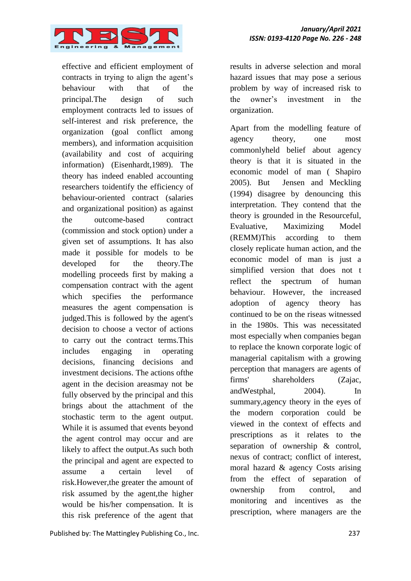

effective and efficient employment of contracts in trying to align the agent's behaviour with that of the principal.The design of such employment contracts led to issues of self-interest and risk preference, the organization (goal conflict among members), and information acquisition (availability and cost of acquiring information) (Eisenhardt,1989). The theory has indeed enabled accounting researchers toidentify the efficiency of behaviour-oriented contract (salaries and organizational position) as against the outcome-based contract (commission and stock option) under a given set of assumptions. It has also made it possible for models to be developed for the theory.The modelling proceeds first by making a compensation contract with the agent which specifies the performance measures the agent compensation is judged.This is followed by the agent's decision to choose a vector of actions to carry out the contract terms.This includes engaging in operating decisions, financing decisions and investment decisions. The actions ofthe agent in the decision areasmay not be fully observed by the principal and this brings about the attachment of the stochastic term to the agent output. While it is assumed that events beyond the agent control may occur and are likely to affect the output.As such both the principal and agent are expected to assume a certain level of risk.However,the greater the amount of risk assumed by the agent,the higher would be his/her compensation. It is this risk preference of the agent that

Published by: The Mattingley Publishing Co., Inc. 237

results in adverse selection and moral hazard issues that may pose a serious problem by way of increased risk to the owner's investment in the organization.

Apart from the modelling feature of agency theory, one most commonlyheld belief about agency theory is that it is situated in the economic model of man ( Shapiro 2005). But Jensen and Meckling (1994) disagree by denouncing this interpretation. They contend that the theory is grounded in the Resourceful, Evaluative, Maximizing Model (REMM)This according to them closely replicate human action, and the economic model of man is just a simplified version that does not t reflect the spectrum of human behaviour. However, the increased adoption of agency theory has continued to be on the riseas witnessed in the 1980s. This was necessitated most especially when companies began to replace the known corporate logic of managerial capitalism with a growing perception that managers are agents of firms' shareholders (Zajac, andWestphal, 2004). In summary,agency theory in the eyes of the modern corporation could be viewed in the context of effects and prescriptions as it relates to the separation of ownership & control, nexus of contract; conflict of interest, moral hazard & agency Costs arising from the effect of separation of ownership from control, and monitoring and incentives as the prescription, where managers are the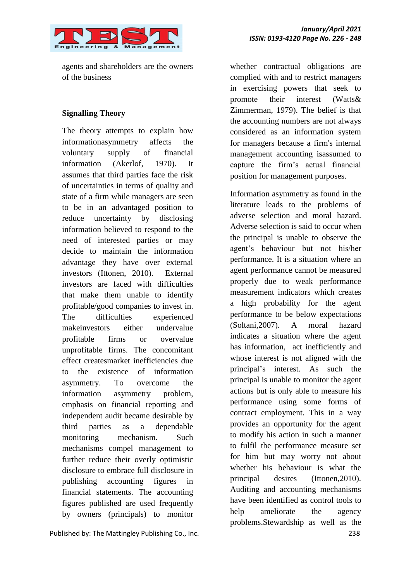

agents and shareholders are the owners of the business

#### **Signalling Theory**

The theory attempts to explain how informationasymmetry affects the voluntary supply of financial information (Akerlof, 1970). It assumes that third parties face the risk of uncertainties in terms of quality and state of a firm while managers are seen to be in an advantaged position to reduce uncertainty by disclosing information believed to respond to the need of interested parties or may decide to maintain the information advantage they have over external investors (Ittonen, 2010). External investors are faced with difficulties that make them unable to identify profitable/good companies to invest in. The difficulties experienced makeinvestors either undervalue profitable firms or overvalue unprofitable firms. The concomitant effect createsmarket inefficiencies due to the existence of information asymmetry. To overcome the information asymmetry problem, emphasis on financial reporting and independent audit became desirable by third parties as a dependable monitoring mechanism. Such mechanisms compel management to further reduce their overly optimistic disclosure to embrace full disclosure in publishing accounting figures in financial statements. The accounting figures published are used frequently by owners (principals) to monitor

Published by: The Mattingley Publishing Co., Inc. 238

whether contractual obligations are complied with and to restrict managers in exercising powers that seek to promote their interest (Watts& Zimmerman, 1979). The belief is that the accounting numbers are not always considered as an information system for managers because a firm's internal management accounting isassumed to capture the firm's actual financial position for management purposes.

Information asymmetry as found in the literature leads to the problems of adverse selection and moral hazard. Adverse selection is said to occur when the principal is unable to observe the agent's behaviour but not his/her performance. It is a situation where an agent performance cannot be measured properly due to weak performance measurement indicators which creates a high probability for the agent performance to be below expectations (Soltani,2007). A moral hazard indicates a situation where the agent has information, act inefficiently and whose interest is not aligned with the principal's interest. As such the principal is unable to monitor the agent actions but is only able to measure his performance using some forms of contract employment. This in a way provides an opportunity for the agent to modify his action in such a manner to fulfil the performance measure set for him but may worry not about whether his behaviour is what the principal desires (Ittonen,2010). Auditing and accounting mechanisms have been identified as control tools to help ameliorate the agency problems.Stewardship as well as the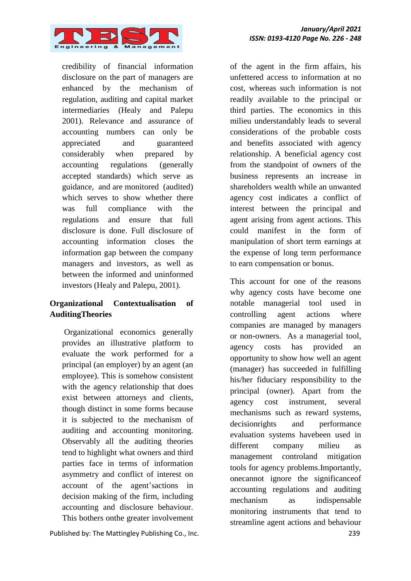

credibility of financial information disclosure on the part of managers are enhanced by the mechanism of regulation, auditing and capital market intermediaries (Healy and Palepu 2001). Relevance and assurance of accounting numbers can only be appreciated and guaranteed considerably when prepared by accounting regulations (generally accepted standards) which serve as guidance, and are monitored (audited) which serves to show whether there was full compliance with the regulations and ensure that full disclosure is done. Full disclosure of accounting information closes the information gap between the company managers and investors, as well as between the informed and uninformed investors (Healy and Palepu, 2001).

# **Organizational Contextualisation of AuditingTheories**

Organizational economics generally provides an illustrative platform to evaluate the work performed for a principal (an employer) by an agent (an employee). This is somehow consistent with the agency relationship that does exist between attorneys and clients, though distinct in some forms because it is subjected to the mechanism of auditing and accounting monitoring. Observably all the auditing theories tend to highlight what owners and third parties face in terms of information asymmetry and conflict of interest on account of the agent'sactions in decision making of the firm, including accounting and disclosure behaviour. This bothers onthe greater involvement

Published by: The Mattingley Publishing Co., Inc. 239

of the agent in the firm affairs, his unfettered access to information at no cost, whereas such information is not readily available to the principal or third parties. The economics in this milieu understandably leads to several considerations of the probable costs and benefits associated with agency relationship. A beneficial agency cost from the standpoint of owners of the business represents an increase in shareholders wealth while an unwanted agency cost indicates a conflict of interest between the principal and agent arising from agent actions. This could manifest in the form of manipulation of short term earnings at the expense of long term performance to earn compensation or bonus.

This account for one of the reasons why agency costs have become one notable managerial tool used in controlling agent actions where companies are managed by managers or non-owners. As a managerial tool, agency costs has provided an opportunity to show how well an agent (manager) has succeeded in fulfilling his/her fiduciary responsibility to the principal (owner). Apart from the agency cost instrument, several mechanisms such as reward systems, decisionrights and performance evaluation systems havebeen used in different company milieu as management controland mitigation tools for agency problems.Importantly, onecannot ignore the significanceof accounting regulations and auditing mechanism as indispensable monitoring instruments that tend to streamline agent actions and behaviour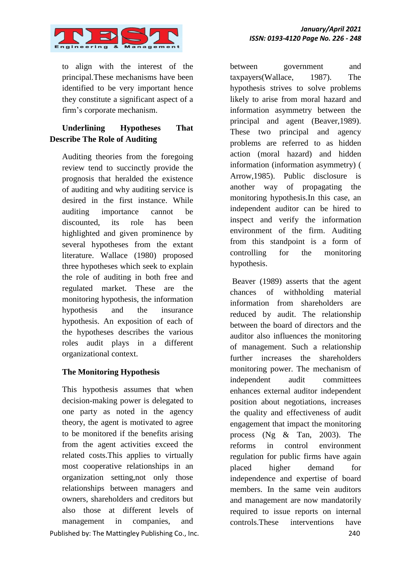

to align with the interest of the principal.These mechanisms have been identified to be very important hence they constitute a significant aspect of a firm's corporate mechanism.

# **Underlining Hypotheses That Describe The Role of Auditing**

Auditing theories from the foregoing review tend to succinctly provide the prognosis that heralded the existence of auditing and why auditing service is desired in the first instance. While auditing importance cannot be discounted, its role has been highlighted and given prominence by several hypotheses from the extant literature. Wallace (1980) proposed three hypotheses which seek to explain the role of auditing in both free and regulated market. These are the monitoring hypothesis, the information hypothesis and the insurance hypothesis. An exposition of each of the hypotheses describes the various roles audit plays in a different organizational context.

# **The Monitoring Hypothesis**

Published by: The Mattingley Publishing Co., Inc. 240 This hypothesis assumes that when decision-making power is delegated to one party as noted in the agency theory, the agent is motivated to agree to be monitored if the benefits arising from the agent activities exceed the related costs.This applies to virtually most cooperative relationships in an organization setting,not only those relationships between managers and owners, shareholders and creditors but also those at different levels of management in companies, and

between government and taxpayers(Wallace, 1987). The hypothesis strives to solve problems likely to arise from moral hazard and information asymmetry between the principal and agent (Beaver,1989). These two principal and agency problems are referred to as hidden action (moral hazard) and hidden information (information asymmetry) ( Arrow,1985). Public disclosure is another way of propagating the monitoring hypothesis.In this case, an independent auditor can be hired to inspect and verify the information environment of the firm. Auditing from this standpoint is a form of controlling for the monitoring hypothesis.

Beaver (1989) asserts that the agent chances of withholding material information from shareholders are reduced by audit. The relationship between the board of directors and the auditor also influences the monitoring of management. Such a relationship further increases the shareholders monitoring power. The mechanism of independent audit committees enhances external auditor independent position about negotiations, increases the quality and effectiveness of audit engagement that impact the monitoring process (Ng & Tan, 2003). The reforms in control environment regulation for public firms have again placed higher demand for independence and expertise of board members. In the same vein auditors and management are now mandatorily required to issue reports on internal controls.These interventions have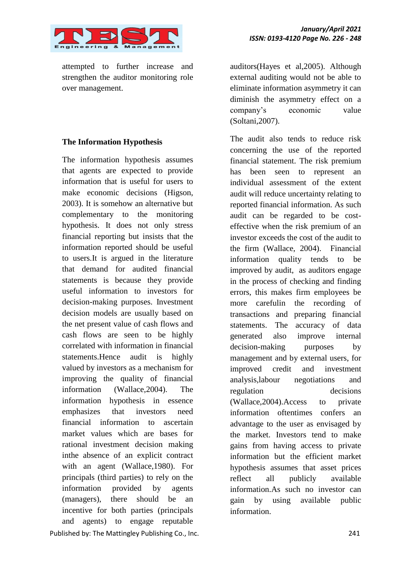

attempted to further increase and strengthen the auditor monitoring role over management.

#### **The Information Hypothesis**

Published by: The Mattingley Publishing Co., Inc. 241 The information hypothesis assumes that agents are expected to provide information that is useful for users to make economic decisions (Higson, 2003). It is somehow an alternative but complementary to the monitoring hypothesis. It does not only stress financial reporting but insists that the information reported should be useful to users.It is argued in the literature that demand for audited financial statements is because they provide useful information to investors for decision-making purposes. Investment decision models are usually based on the net present value of cash flows and cash flows are seen to be highly correlated with information in financial statements.Hence audit is highly valued by investors as a mechanism for improving the quality of financial information (Wallace,2004). The information hypothesis in essence emphasizes that investors need financial information to ascertain market values which are bases for rational investment decision making inthe absence of an explicit contract with an agent (Wallace,1980). For principals (third parties) to rely on the information provided by agents (managers), there should be an incentive for both parties (principals and agents) to engage reputable

auditors(Hayes et al,2005). Although external auditing would not be able to eliminate information asymmetry it can diminish the asymmetry effect on a company's economic value (Soltani,2007).

The audit also tends to reduce risk concerning the use of the reported financial statement. The risk premium has been seen to represent an individual assessment of the extent audit will reduce uncertainty relating to reported financial information. As such audit can be regarded to be costeffective when the risk premium of an investor exceeds the cost of the audit to the firm (Wallace, 2004). Financial information quality tends to be improved by audit, as auditors engage in the process of checking and finding errors, this makes firm employees be more carefulin the recording of transactions and preparing financial statements. The accuracy of data generated also improve internal decision-making purposes by management and by external users, for improved credit and investment analysis,labour negotiations and regulation decisions (Wallace,2004).Access to private information oftentimes confers an advantage to the user as envisaged by the market. Investors tend to make gains from having access to private information but the efficient market hypothesis assumes that asset prices reflect all publicly available information.As such no investor can gain by using available public information.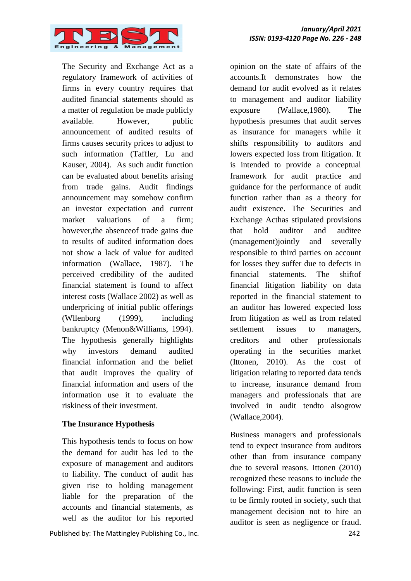

The Security and Exchange Act as a regulatory framework of activities of firms in every country requires that audited financial statements should as a matter of regulation be made publicly available. However, public announcement of audited results of firms causes security prices to adjust to such information (Taffler, Lu and Kauser, 2004). As such audit function can be evaluated about benefits arising from trade gains. Audit findings announcement may somehow confirm an investor expectation and current market valuations of a firm; however,the absenceof trade gains due to results of audited information does not show a lack of value for audited information (Wallace, 1987). The perceived credibility of the audited financial statement is found to affect interest costs (Wallace 2002) as well as underpricing of initial public offerings (Wllenborg (1999), including bankruptcy (Menon&Williams, 1994). The hypothesis generally highlights why investors demand audited financial information and the belief that audit improves the quality of financial information and users of the information use it to evaluate the riskiness of their investment.

#### **The Insurance Hypothesis**

This hypothesis tends to focus on how the demand for audit has led to the exposure of management and auditors to liability. The conduct of audit has given rise to holding management liable for the preparation of the accounts and financial statements, as well as the auditor for his reported

Published by: The Mattingley Publishing Co., Inc. 242

opinion on the state of affairs of the accounts.It demonstrates how the demand for audit evolved as it relates to management and auditor liability exposure (Wallace,1980). The hypothesis presumes that audit serves as insurance for managers while it shifts responsibility to auditors and lowers expected loss from litigation. It is intended to provide a conceptual framework for audit practice and guidance for the performance of audit function rather than as a theory for audit existence. The Securities and Exchange Acthas stipulated provisions that hold auditor and auditee (management)jointly and severally responsible to third parties on account for losses they suffer due to defects in financial statements. The shiftof financial litigation liability on data reported in the financial statement to an auditor has lowered expected loss from litigation as well as from related settlement issues to managers. creditors and other professionals operating in the securities market (Ittonen, 2010). As the cost of litigation relating to reported data tends to increase, insurance demand from managers and professionals that are involved in audit tendto alsogrow (Wallace,2004).

Business managers and professionals tend to expect insurance from auditors other than from insurance company due to several reasons. Ittonen (2010) recognized these reasons to include the following: First, audit function is seen to be firmly rooted in society, such that management decision not to hire an auditor is seen as negligence or fraud.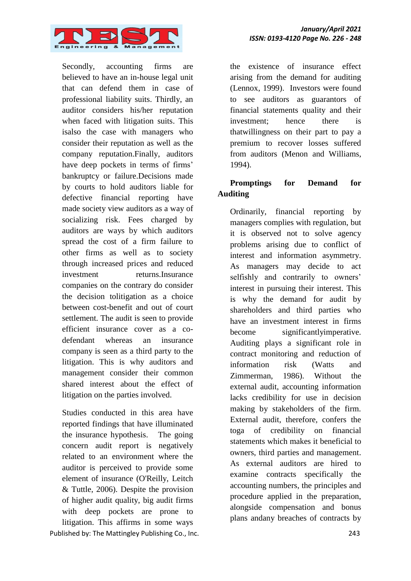

Secondly, accounting firms are believed to have an in-house legal unit that can defend them in case of professional liability suits. Thirdly, an auditor considers his/her reputation when faced with litigation suits. This isalso the case with managers who consider their reputation as well as the company reputation.Finally, auditors have deep pockets in terms of firms' bankruptcy or failure.Decisions made by courts to hold auditors liable for defective financial reporting have made society view auditors as a way of socializing risk. Fees charged by auditors are ways by which auditors spread the cost of a firm failure to other firms as well as to society through increased prices and reduced investment returns.Insurance companies on the contrary do consider the decision tolitigation as a choice between cost-benefit and out of court settlement. The audit is seen to provide efficient insurance cover as a codefendant whereas an insurance company is seen as a third party to the litigation. This is why auditors and management consider their common shared interest about the effect of litigation on the parties involved.

Published by: The Mattingley Publishing Co., Inc. 243 Studies conducted in this area have reported findings that have illuminated the insurance hypothesis. The going concern audit report is negatively related to an environment where the auditor is perceived to provide some element of insurance (O'Reilly, Leitch & Tuttle, 2006). Despite the provision of higher audit quality, big audit firms with deep pockets are prone to litigation. This affirms in some ways

the existence of insurance effect arising from the demand for auditing (Lennox, 1999). Investors were found to see auditors as guarantors of financial statements quality and their investment; hence there is thatwillingness on their part to pay a premium to recover losses suffered from auditors (Menon and Williams, 1994).

# **Promptings for Demand for Auditing**

Ordinarily, financial reporting by managers complies with regulation, but it is observed not to solve agency problems arising due to conflict of interest and information asymmetry. As managers may decide to act selfishly and contrarily to owners' interest in pursuing their interest. This is why the demand for audit by shareholders and third parties who have an investment interest in firms become significantlyimperative. Auditing plays a significant role in contract monitoring and reduction of information risk (Watts and Zimmerman, 1986). Without the external audit, accounting information lacks credibility for use in decision making by stakeholders of the firm. External audit, therefore, confers the toga of credibility on financial statements which makes it beneficial to owners, third parties and management. As external auditors are hired to examine contracts specifically the accounting numbers, the principles and procedure applied in the preparation, alongside compensation and bonus plans andany breaches of contracts by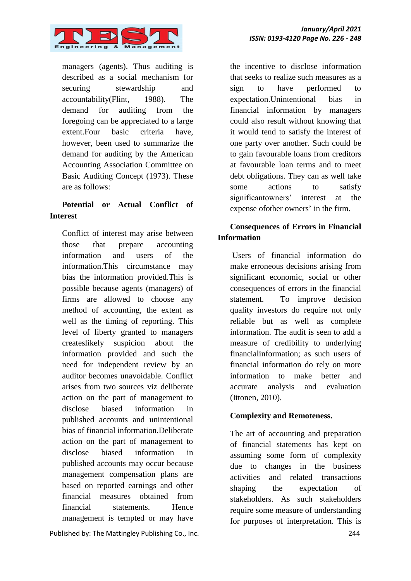

managers (agents). Thus auditing is described as a social mechanism for securing stewardship and accountability(Flint, 1988). The demand for auditing from the foregoing can be appreciated to a large extent.Four basic criteria have, however, been used to summarize the demand for auditing by the American Accounting Association Committee on Basic Auditing Concept (1973). These are as follows:

# **Potential or Actual Conflict of Interest**

Conflict of interest may arise between those that prepare accounting information and users of the information.This circumstance may bias the information provided.This is possible because agents (managers) of firms are allowed to choose any method of accounting, the extent as well as the timing of reporting. This level of liberty granted to managers createslikely suspicion about the information provided and such the need for independent review by an auditor becomes unavoidable. Conflict arises from two sources viz deliberate action on the part of management to disclose biased information in published accounts and unintentional bias of financial information.Deliberate action on the part of management to disclose biased information in published accounts may occur because management compensation plans are based on reported earnings and other financial measures obtained from financial statements. Hence management is tempted or may have

Published by: The Mattingley Publishing Co., Inc. 244

the incentive to disclose information that seeks to realize such measures as a sign to have performed to expectation.Unintentional bias in financial information by managers could also result without knowing that it would tend to satisfy the interest of one party over another. Such could be to gain favourable loans from creditors at favourable loan terms and to meet debt obligations. They can as well take some actions to satisfy significantowners' interest at the expense ofother owners' in the firm.

# **Consequences of Errors in Financial Information**

Users of financial information do make erroneous decisions arising from significant economic, social or other consequences of errors in the financial statement. To improve decision quality investors do require not only reliable but as well as complete information. The audit is seen to add a measure of credibility to underlying financialinformation; as such users of financial information do rely on more information to make better and accurate analysis and evaluation (Ittonen, 2010).

# **Complexity and Remoteness.**

The art of accounting and preparation of financial statements has kept on assuming some form of complexity due to changes in the business activities and related transactions shaping the expectation of stakeholders. As such stakeholders require some measure of understanding for purposes of interpretation. This is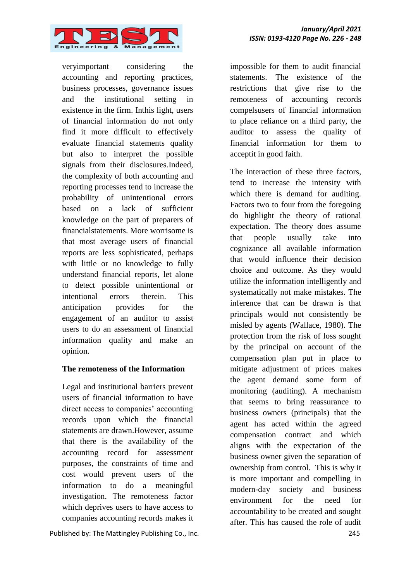

veryimportant considering the accounting and reporting practices, business processes, governance issues and the institutional setting in existence in the firm. Inthis light, users of financial information do not only find it more difficult to effectively evaluate financial statements quality but also to interpret the possible signals from their disclosures.Indeed, the complexity of both accounting and reporting processes tend to increase the probability of unintentional errors based on a lack of sufficient knowledge on the part of preparers of financialstatements. More worrisome is that most average users of financial reports are less sophisticated, perhaps with little or no knowledge to fully understand financial reports, let alone to detect possible unintentional or intentional errors therein. This anticipation provides for the engagement of an auditor to assist users to do an assessment of financial information quality and make an opinion.

#### **The remoteness of the Information**

Legal and institutional barriers prevent users of financial information to have direct access to companies' accounting records upon which the financial statements are drawn.However, assume that there is the availability of the accounting record for assessment purposes, the constraints of time and cost would prevent users of the information to do a meaningful investigation. The remoteness factor which deprives users to have access to companies accounting records makes it

Published by: The Mattingley Publishing Co., Inc. 245

impossible for them to audit financial statements. The existence of the restrictions that give rise to the remoteness of accounting records compelsusers of financial information to place reliance on a third party, the auditor to assess the quality of financial information for them to acceptit in good faith.

The interaction of these three factors, tend to increase the intensity with which there is demand for auditing. Factors two to four from the foregoing do highlight the theory of rational expectation. The theory does assume that people usually take into cognizance all available information that would influence their decision choice and outcome. As they would utilize the information intelligently and systematically not make mistakes. The inference that can be drawn is that principals would not consistently be misled by agents (Wallace, 1980). The protection from the risk of loss sought by the principal on account of the compensation plan put in place to mitigate adjustment of prices makes the agent demand some form of monitoring (auditing). A mechanism that seems to bring reassurance to business owners (principals) that the agent has acted within the agreed compensation contract and which aligns with the expectation of the business owner given the separation of ownership from control. This is why it is more important and compelling in modern-day society and business environment for the need for accountability to be created and sought after. This has caused the role of audit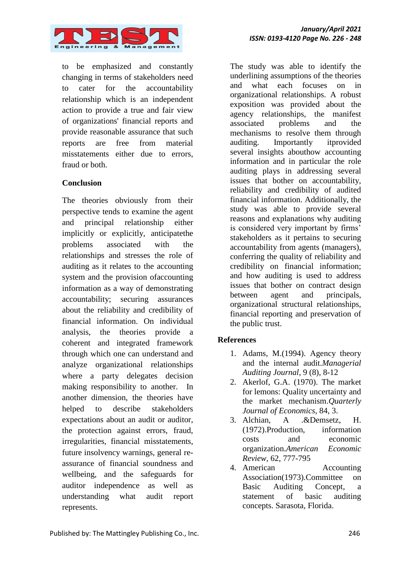

to be emphasized and constantly changing in terms of stakeholders need to cater for the accountability relationship which is an independent action to provide a true and fair view of organizations' financial reports and provide reasonable assurance that such reports are free from material misstatements either due to errors, fraud or both.

#### **Conclusion**

The theories obviously from their perspective tends to examine the agent and principal relationship either implicitly or explicitly, anticipatethe problems associated with the relationships and stresses the role of auditing as it relates to the accounting system and the provision ofaccounting information as a way of demonstrating accountability; securing assurances about the reliability and credibility of financial information. On individual analysis, the theories provide a coherent and integrated framework through which one can understand and analyze organizational relationships where a party delegates decision making responsibility to another. In another dimension, the theories have helped to describe stakeholders expectations about an audit or auditor, the protection against errors, fraud, irregularities, financial misstatements, future insolvency warnings, general reassurance of financial soundness and wellbeing, and the safeguards for auditor independence as well as understanding what audit report represents.

The study was able to identify the underlining assumptions of the theories and what each focuses on in organizational relationships. A robust exposition was provided about the agency relationships, the manifest associated problems and the mechanisms to resolve them through auditing. Importantly itprovided several insights abouthow accounting information and in particular the role auditing plays in addressing several issues that bother on accountability, reliability and credibility of audited financial information. Additionally, the study was able to provide several reasons and explanations why auditing is considered very important by firms' stakeholders as it pertains to securing accountability from agents (managers), conferring the quality of reliability and credibility on financial information; and how auditing is used to address issues that bother on contract design between agent and principals, organizational structural relationships, financial reporting and preservation of the public trust.

#### **References**

- 1. Adams, M.(1994). Agency theory and the internal audit.*Managerial Auditing Journal*, 9 (8), 8-12
- 2. Akerlof, G.A. (1970). The market for lemons: Quality uncertainty and the market mechanism.*Quarterly Journal of Economics*, 84, 3.
- 3. Alchian, A .&Demsetz, H. (1972).Production, information costs and economic organization.*American Economic Review*, 62, 777-795
- 4. American Accounting Association(1973).Committee on Basic Auditing Concept, a statement of basic auditing concepts. Sarasota, Florida.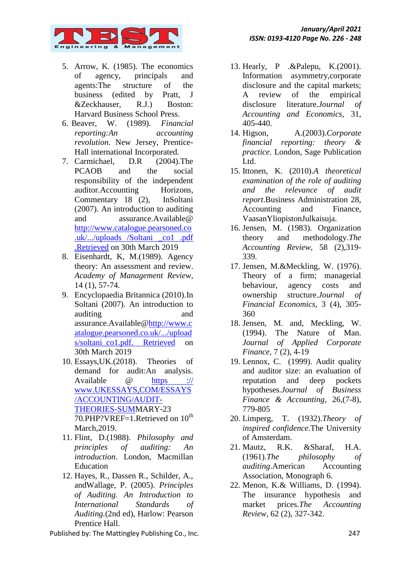

- 5. Arrow, K. (1985). The economics of agency, principals and agents:The structure of the business (edited by Pratt, J &Zeckhauser, R.J.) Boston: Harvard Business School Press.
- 6. Beaver, W. (1989). *Financial reporting:An accounting revolution*. New Jersey, Prentice-Hall international Incorporated.
- 7. Carmichael, D.R (2004).The PCAOB and the social responsibility of the independent auditor.Accounting Horizons, Commentary 18 (2), InSoltani (2007). An introduction to auditing and assurance.Available@ [http://www.catalogue.pearsoned.co](http://www.catalogue.pearsoned.co.uk/.../uploads%20/soltani%20_co1%20.pdf%20.Retrieved) [.uk/.../uploads /Soltani \\_co1 .pdf](http://www.catalogue.pearsoned.co.uk/.../uploads%20/soltani%20_co1%20.pdf%20.Retrieved)  [.Retrieved](http://www.catalogue.pearsoned.co.uk/.../uploads%20/soltani%20_co1%20.pdf%20.Retrieved) on 30th March 2019
- 8. Eisenhardt, K, M.(1989). Agency theory: An assessment and review. *Academy of Management Review*, 14 (1), 57-74.
- 9. Encyclopaedia Britannica (2010).In Soltani (2007). An introduction to auditing and assurance.Available[@http://www.c](http://www.catalogue.pearsoned.co.uk/.../uploads/soltani_co1.pdf.%20Retrieved) [atalogue.pearsoned.co.uk/.../upload](http://www.catalogue.pearsoned.co.uk/.../uploads/soltani_co1.pdf.%20Retrieved) [s/soltani\\_co1.pdf. Retrieved](http://www.catalogue.pearsoned.co.uk/.../uploads/soltani_co1.pdf.%20Retrieved) on 30th March 2019
- 10. Essays,UK.(2018). Theories of demand for audit:An analysis. Available @ https :// www.UKESSAYS,COM/ESSAYS /ACCOUNTING/AUDIT-THEORIES-SUMMARY-23 70.PHP?VREF=1.Retrieved on 10<sup>th</sup> March,2019.
- 11. Flint, D.(1988). *Philosophy and principles of auditing: An introduction*. London, Macmillan Education
- 12. Hayes, R., Dassen R., Schilder, A., andWallage, P. (2005). *Principles of Auditing. An Introduction to International Standards of Auditing.*(2nd ed), Harlow: Pearson Prentice Hall.

Published by: The Mattingley Publishing Co., Inc. 247

- 13. Hearly, P .&Palepu, K.(2001). Information asymmetry,corporate disclosure and the capital markets; A review of the empirical disclosure literature.*Journal of Accounting and Economics*, 31, 405-440.
- 14. Higson, A.(2003).*Corporate financial reporting: theory & practice*. London, Sage Publication Ltd.
- 15. Ittonen, K. (2010).*A theoretical examination of the role of auditing and the relevance of audit report*.Business Administration 28, Accounting and Finance, VaasanYliopistonJulkaisuja.
- 16. Jensen, M. (1983). Organization theory and methodology.*The Accounting Review*, 58 (2),319- 339.
- 17. Jensen, M.&Meckling, W. (1976). Theory of a firm; managerial behaviour, agency costs and ownership structure.*Journal of Financial Economics*, 3 (4), 305- 360
- 18. Jensen, M. and, Meckling, W. (1994). The Nature of Man. *Journal of Applied Corporate Finance,* 7 (2), 4-19
- 19. Lennox, C. (1999). Audit quality and auditor size: an evaluation of reputation and deep pockets hypotheses*.Journal of Business Finance & Accounting*, 26,(7-8), 779-805
- 20. Limperg, T. (1932).*Theory of inspired confidence*.The University of Amsterdam.
- 21. Mautz, R.K. &Sharaf, H.A. (1961).*The philosophy of auditing*.American Accounting Association, Monograph 6.
- 22. Menon, K.& Williams, D. (1994). The insurance hypothesis and market prices.*The Accounting Review*, 62 (2), 327-342.